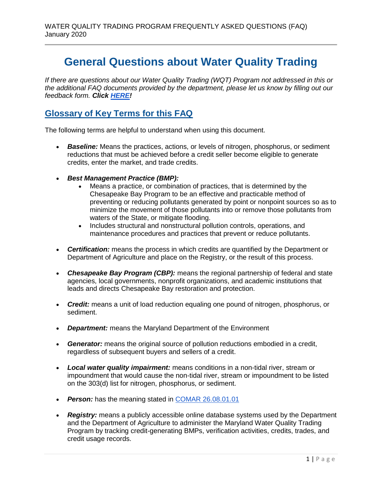# **General Questions about Water Quality Trading**

*If there are questions about our Water Quality Trading (WQT) Program not addressed in this or the additional FAQ documents provided by the department, please let us know by filling out our feedback form. Click [HERE!](https://forms.gle/rpwQHr8Lou8TLWoz5)*

# **Glossary of Key Terms for this FAQ**

The following terms are helpful to understand when using this document.

- *Baseline:* Means the practices, actions, or levels of nitrogen, phosphorus, or sediment reductions that must be achieved before a credit seller become eligible to generate credits, enter the market, and trade credits.
- *Best Management Practice (BMP):*
	- Means a practice, or combination of practices, that is determined by the Chesapeake Bay Program to be an effective and practicable method of preventing or reducing pollutants generated by point or nonpoint sources so as to minimize the movement of those pollutants into or remove those pollutants from waters of the State, or mitigate flooding.
	- Includes structural and nonstructural pollution controls, operations, and maintenance procedures and practices that prevent or reduce pollutants.
- *Certification:* means the process in which credits are quantified by the Department or Department of Agriculture and place on the Registry, or the result of this process.
- *Chesapeake Bay Program (CBP):* means the regional partnership of federal and state agencies, local governments, nonprofit organizations, and academic institutions that leads and directs Chesapeake Bay restoration and protection.
- *Credit:* means a unit of load reduction equaling one pound of nitrogen, phosphorus, or sediment.
- *Department:* means the Maryland Department of the Environment
- *Generator:* means the original source of pollution reductions embodied in a credit, regardless of subsequent buyers and sellers of a credit.
- *Local water quality impairment:* means conditions in a non-tidal river, stream or impoundment that would cause the non-tidal river, stream or impoundment to be listed on the 303(d) list for nitrogen, phosphorus, or sediment.
- Person: has the meaning stated in [COMAR 26.08.01.01](http://www.dsd.state.md.us/comar/comarhtml/26/26.08.01.01.htm)
- *Registry:* means a publicly accessible online database systems used by the Department and the Department of Agriculture to administer the Maryland Water Quality Trading Program by tracking credit-generating BMPs, verification activities, credits, trades, and credit usage records.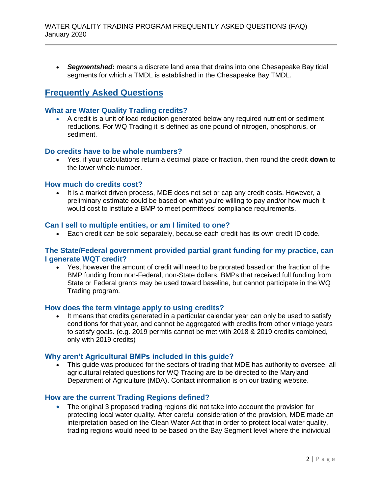*Segmentshed:* means a discrete land area that drains into one Chesapeake Bay tidal segments for which a TMDL is established in the Chesapeake Bay TMDL.

# **Frequently Asked Questions**

# **What are Water Quality Trading credits?**

 A credit is a unit of load reduction generated below any required nutrient or sediment reductions. For WQ Trading it is defined as one pound of nitrogen, phosphorus, or sediment.

# **Do credits have to be whole numbers?**

 Yes, if your calculations return a decimal place or fraction, then round the credit **down** to the lower whole number.

#### **How much do credits cost?**

 It is a market driven process, MDE does not set or cap any credit costs. However, a preliminary estimate could be based on what you're willing to pay and/or how much it would cost to institute a BMP to meet permittees' compliance requirements.

#### **Can I sell to multiple entities, or am I limited to one?**

Each credit can be sold separately, because each credit has its own credit ID code.

#### **The State/Federal government provided partial grant funding for my practice, can I generate WQT credit?**

 Yes, however the amount of credit will need to be prorated based on the fraction of the BMP funding from non-Federal, non-State dollars. BMPs that received full funding from State or Federal grants may be used toward baseline, but cannot participate in the WQ Trading program.

#### **How does the term vintage apply to using credits?**

• It means that credits generated in a particular calendar year can only be used to satisfy conditions for that year, and cannot be aggregated with credits from other vintage years to satisfy goals. (e.g. 2019 permits cannot be met with 2018 & 2019 credits combined, only with 2019 credits)

#### **Why aren't Agricultural BMPs included in this guide?**

 This guide was produced for the sectors of trading that MDE has authority to oversee, all agricultural related questions for WQ Trading are to be directed to the Maryland Department of Agriculture (MDA). Contact information is on our trading website.

# **How are the current Trading Regions defined?**

 The original 3 proposed trading regions did not take into account the provision for protecting local water quality. After careful consideration of the provision, MDE made an interpretation based on the Clean Water Act that in order to protect local water quality, trading regions would need to be based on the Bay Segment level where the individual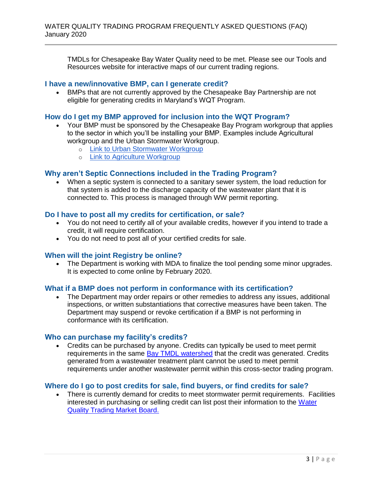TMDLs for Chesapeake Bay Water Quality need to be met. Please see our Tools and Resources website for interactive maps of our current trading regions.

# **I have a new/innovative BMP, can I generate credit?**

 BMPs that are not currently approved by the Chesapeake Bay Partnership are not eligible for generating credits in Maryland's WQT Program.

# **How do I get my BMP approved for inclusion into the WQT Program?**

- Your BMP must be sponsored by the Chesapeake Bay Program workgroup that applies to the sector in which you'll be installing your BMP. Examples include Agricultural workgroup and the Urban Stormwater Workgroup.
	- o [Link to Urban Stormwater Workgroup](https://www.chesapeakebay.net/who/group/urban_stormwater_workgroup)
	- o [Link to Agriculture Workgroup](https://www.chesapeakebay.net/who/group/agriculture_workgroup)

# **Why aren't Septic Connections included in the Trading Program?**

 When a septic system is connected to a sanitary sewer system, the load reduction for that system is added to the discharge capacity of the wastewater plant that it is connected to. This process is managed through WW permit reporting.

#### **Do I have to post all my credits for certification, or sale?**

- You do not need to certify all of your available credits, however if you intend to trade a credit, it will require certification.
- You do not need to post all of your certified credits for sale.

# **When will the joint Registry be online?**

• The Department is working with MDA to finalize the tool pending some minor upgrades. It is expected to come online by February 2020.

# **What if a BMP does not perform in conformance with its certification?**

 The Department may order repairs or other remedies to address any issues, additional inspections, or written substantiations that corrective measures have been taken. The Department may suspend or revoke certification if a BMP is not performing in conformance with its certification.

# **Who can purchase my facility's credits?**

 Credits can be purchased by anyone. Credits can typically be used to meet permit requirements in the same [Bay TMDL watershed](https://mdewin64.mde.state.md.us/WSA/Trading/index.html) that the credit was generated. Credits generated from a wastewater treatment plant cannot be used to meet permit requirements under another wastewater permit within this cross-sector trading program.

# **Where do I go to post credits for sale, find buyers, or find credits for sale?**

 There is currently demand for credits to meet stormwater permit requirements. Facilities interested in purchasing or selling credit can list post their information to the [Water](https://mde.maryland.gov/programs/Water/WQT/Pages/WQT-MarketBoard.aspx)  [Quality Trading Market Board.](https://mde.maryland.gov/programs/Water/WQT/Pages/WQT-MarketBoard.aspx)